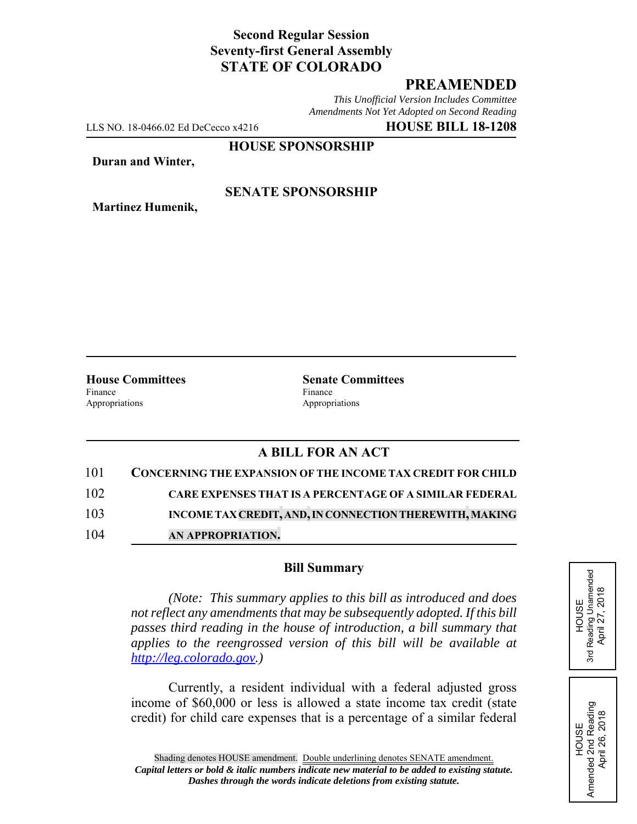# **Second Regular Session Seventy-first General Assembly STATE OF COLORADO**

# **PREAMENDED**

*This Unofficial Version Includes Committee Amendments Not Yet Adopted on Second Reading*

LLS NO. 18-0466.02 Ed DeCecco x4216 **HOUSE BILL 18-1208**

**HOUSE SPONSORSHIP**

**Duran and Winter,**

**Martinez Humenik,**

### **SENATE SPONSORSHIP**

Finance Finance **Finance** Appropriations Appropriations

**House Committees Senate Committees** 

## **A BILL FOR AN ACT**

- 101 **CONCERNING THE EXPANSION OF THE INCOME TAX CREDIT FOR CHILD** 102 **CARE EXPENSES THAT IS A PERCENTAGE OF A SIMILAR FEDERAL**
- 103 **INCOME TAX CREDIT, AND, IN CONNECTION THEREWITH, MAKING**
- 104 **AN APPROPRIATION.**

### **Bill Summary**

*(Note: This summary applies to this bill as introduced and does not reflect any amendments that may be subsequently adopted. If this bill passes third reading in the house of introduction, a bill summary that applies to the reengrossed version of this bill will be available at http://leg.colorado.gov.)*

Currently, a resident individual with a federal adjusted gross income of \$60,000 or less is allowed a state income tax credit (state credit) for child care expenses that is a percentage of a similar federal HOUSE<br>Reading Unamended<br>April 27, 2018 3rd Reading Unamended April 27, 2018 3rd

HOUSE Amended 2nd Reading April 26, 2018

Amended 2nd Reading<br>April 26, 2018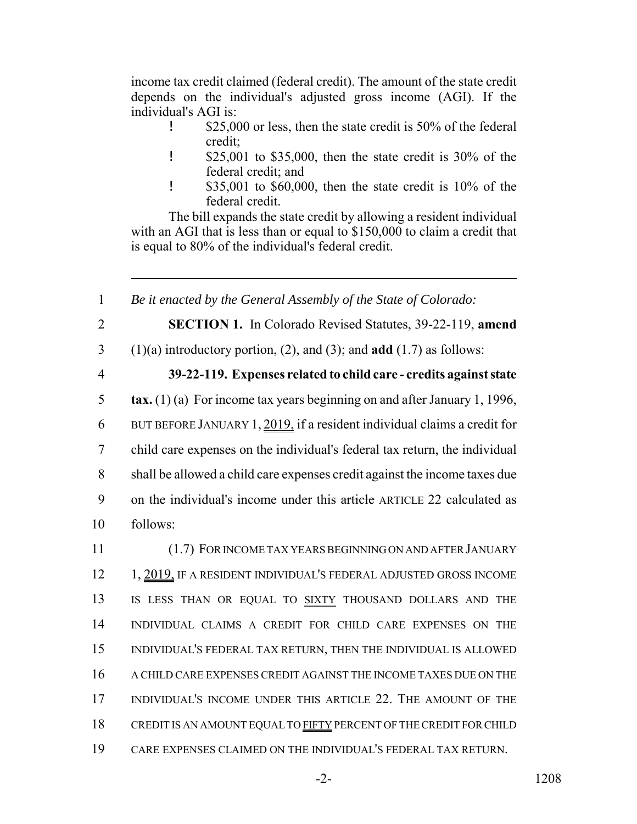income tax credit claimed (federal credit). The amount of the state credit depends on the individual's adjusted gross income (AGI). If the individual's AGI is:

- **\$25,000** or less, then the state credit is 50% of the federal credit;
- ! \$25,001 to \$35,000, then the state credit is 30% of the federal credit; and
- ! \$35,001 to \$60,000, then the state credit is 10% of the federal credit.

The bill expands the state credit by allowing a resident individual with an AGI that is less than or equal to \$150,000 to claim a credit that is equal to 80% of the individual's federal credit.

1 *Be it enacted by the General Assembly of the State of Colorado:*

- 
- 2 **SECTION 1.** In Colorado Revised Statutes, 39-22-119, **amend**
- 3 (1)(a) introductory portion, (2), and (3); and **add** (1.7) as follows:
- 

# 4 **39-22-119. Expenses related to child care - credits against state**

 **tax.** (1) (a) For income tax years beginning on and after January 1, 1996, BUT BEFORE JANUARY 1, 2019, if a resident individual claims a credit for child care expenses on the individual's federal tax return, the individual shall be allowed a child care expenses credit against the income taxes due 9 on the individual's income under this article ARTICLE 22 calculated as 10 follows:

 (1.7) FOR INCOME TAX YEARS BEGINNING ON AND AFTER JANUARY 12 1, 2019, IF A RESIDENT INDIVIDUAL'S FEDERAL ADJUSTED GROSS INCOME 13 IS LESS THAN OR EQUAL TO SIXTY THOUSAND DOLLARS AND THE INDIVIDUAL CLAIMS A CREDIT FOR CHILD CARE EXPENSES ON THE INDIVIDUAL'S FEDERAL TAX RETURN, THEN THE INDIVIDUAL IS ALLOWED A CHILD CARE EXPENSES CREDIT AGAINST THE INCOME TAXES DUE ON THE INDIVIDUAL'S INCOME UNDER THIS ARTICLE 22. THE AMOUNT OF THE 18 CREDIT IS AN AMOUNT EQUAL TO FIFTY PERCENT OF THE CREDIT FOR CHILD CARE EXPENSES CLAIMED ON THE INDIVIDUAL'S FEDERAL TAX RETURN.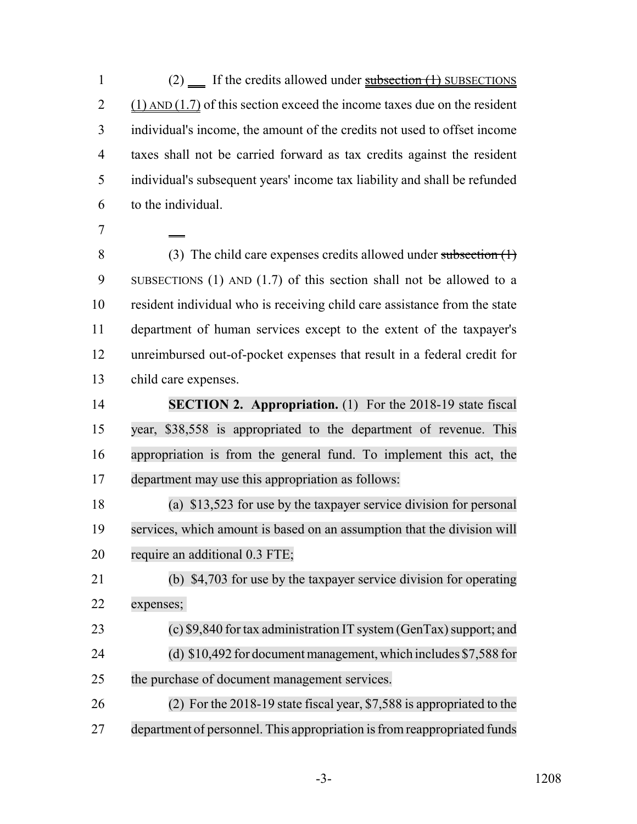1 (2) If the credits allowed under  $\frac{\text{subsection}(1)}{\text{subsection}(1)}$  SUBSECTIONS 2 (1)  $AND(1.7)$  of this section exceed the income taxes due on the resident individual's income, the amount of the credits not used to offset income taxes shall not be carried forward as tax credits against the resident individual's subsequent years' income tax liability and shall be refunded to the individual.

 (3) The child care expenses credits allowed under subsection (1) SUBSECTIONS (1) AND (1.7) of this section shall not be allowed to a resident individual who is receiving child care assistance from the state department of human services except to the extent of the taxpayer's unreimbursed out-of-pocket expenses that result in a federal credit for child care expenses.

 **SECTION 2. Appropriation.** (1) For the 2018-19 state fiscal year, \$38,558 is appropriated to the department of revenue. This appropriation is from the general fund. To implement this act, the department may use this appropriation as follows:

 (a) \$13,523 for use by the taxpayer service division for personal services, which amount is based on an assumption that the division will require an additional 0.3 FTE;

 (b) \$4,703 for use by the taxpayer service division for operating expenses;

23 (c) \$9,840 for tax administration IT system (GenTax) support; and (d) \$10,492 for document management, which includes \$7,588 for the purchase of document management services.

 (2) For the 2018-19 state fiscal year, \$7,588 is appropriated to the department of personnel. This appropriation isfromreappropriated funds